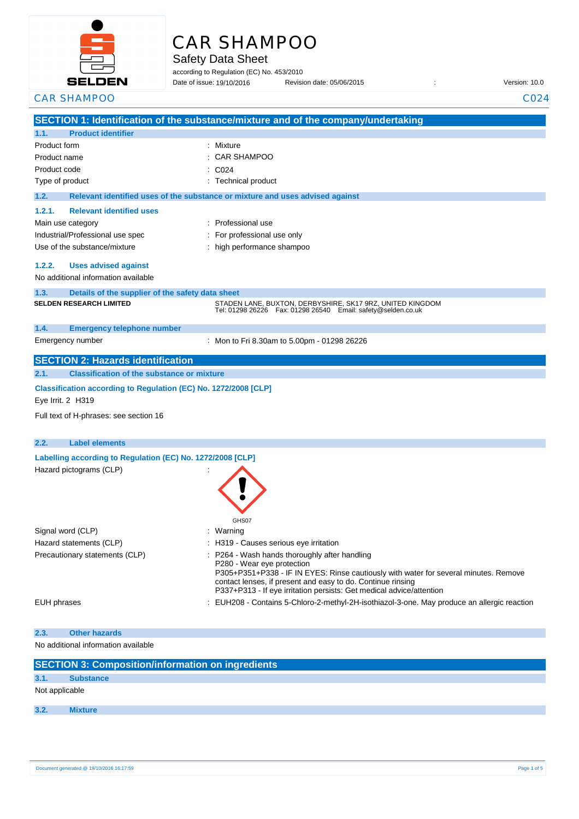

# CAR SHAMPOO

Safety Data Sheet

according to Regulation (EC) No. 453/2010 Date of issue: 19/10/2016

Date of issue: Revision date: 05/06/2015 : Version: 10.0

| <b>CAR SHAMPOO</b>                                                                   | C024                                                                                                                                |
|--------------------------------------------------------------------------------------|-------------------------------------------------------------------------------------------------------------------------------------|
|                                                                                      | SECTION 1: Identification of the substance/mixture and of the company/undertaking                                                   |
| <b>Product identifier</b><br>1.1.                                                    |                                                                                                                                     |
| Product form                                                                         | Mixture                                                                                                                             |
| Product name                                                                         | <b>CAR SHAMPOO</b>                                                                                                                  |
| Product code                                                                         | C024                                                                                                                                |
| Type of product                                                                      | : Technical product                                                                                                                 |
| 1.2.                                                                                 | Relevant identified uses of the substance or mixture and uses advised against                                                       |
| <b>Relevant identified uses</b><br>1.2.1.                                            |                                                                                                                                     |
| Main use category                                                                    | : Professional use                                                                                                                  |
| Industrial/Professional use spec                                                     | For professional use only                                                                                                           |
| Use of the substance/mixture                                                         | : high performance shampoo                                                                                                          |
| 1.2.2.<br><b>Uses advised against</b>                                                |                                                                                                                                     |
| No additional information available                                                  |                                                                                                                                     |
| 1.3.<br>Details of the supplier of the safety data sheet                             |                                                                                                                                     |
| <b>SELDEN RESEARCH LIMITED</b>                                                       | STADEN LANE, BUXTON, DERBYSHIRE, SK17 9RZ, UNITED KINGDOM<br>Tel: 01298 26226    Fax: 01298 26540    Email: safety@selden.co.uk     |
| 1.4.<br><b>Emergency telephone number</b>                                            |                                                                                                                                     |
| Emergency number                                                                     | : Mon to Fri 8.30am to 5.00pm - 01298 26226                                                                                         |
| <b>SECTION 2: Hazards identification</b>                                             |                                                                                                                                     |
| <b>Classification of the substance or mixture</b><br>2.1.                            |                                                                                                                                     |
| Classification according to Regulation (EC) No. 1272/2008 [CLP]<br>Eye Irrit. 2 H319 |                                                                                                                                     |
| Full text of H-phrases: see section 16                                               |                                                                                                                                     |
|                                                                                      |                                                                                                                                     |
| 2.2.<br><b>Label elements</b>                                                        |                                                                                                                                     |
| Labelling according to Regulation (EC) No. 1272/2008 [CLP]                           |                                                                                                                                     |
| Hazard pictograms (CLP)                                                              |                                                                                                                                     |
|                                                                                      |                                                                                                                                     |
|                                                                                      |                                                                                                                                     |
|                                                                                      |                                                                                                                                     |
|                                                                                      | GHS07                                                                                                                               |
| Signal word (CLP)                                                                    | : Warning                                                                                                                           |
| Hazard statements (CLP)                                                              | : H319 - Causes serious eye irritation                                                                                              |
| Precautionary statements (CLP)                                                       | P264 - Wash hands thoroughly after handling<br>P280 - Wear eye protection                                                           |
|                                                                                      | P305+P351+P338 - IF IN EYES: Rinse cautiously with water for several minutes. Remove                                                |
|                                                                                      | contact lenses, if present and easy to do. Continue rinsing<br>P337+P313 - If eye irritation persists: Get medical advice/attention |
| EUH phrases                                                                          | : EUH208 - Contains 5-Chloro-2-methyl-2H-isothiazol-3-one. May produce an allergic reaction                                         |
|                                                                                      |                                                                                                                                     |
| <b>Other hazards</b><br>2.3.                                                         |                                                                                                                                     |
| No additional information available                                                  |                                                                                                                                     |
| <b>SECTION 3: Composition/information on ingredients</b>                             |                                                                                                                                     |
| 3.1.<br><b>Substance</b>                                                             |                                                                                                                                     |
| Not applicable                                                                       |                                                                                                                                     |

**3.2. Mixture**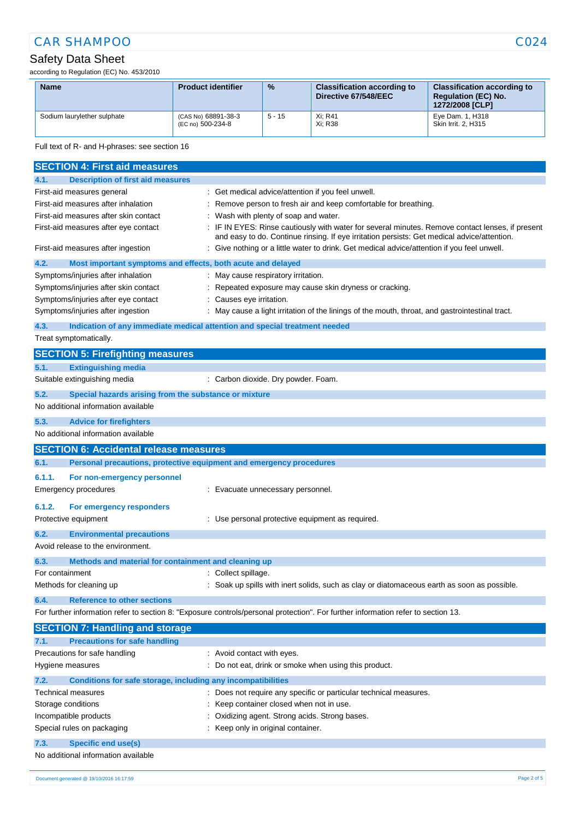## CAR SHAMPOO CO24

## Safety Data Sheet

according to Regulation (EC) No. 453/2010

| <b>Name</b>                 | <b>Product identifier</b>                | $\frac{9}{6}$ | <b>Classification according to</b><br>Directive 67/548/EEC | <b>Classification according to</b><br><b>Requlation (EC) No.</b><br>1272/2008 [CLP] |
|-----------------------------|------------------------------------------|---------------|------------------------------------------------------------|-------------------------------------------------------------------------------------|
| Sodium laurylether sulphate | (CAS No) 68891-38-3<br>(EC no) 500-234-8 | $5 - 15$      | Xi: R41<br>Xi: R38                                         | Eye Dam. 1, H318<br>Skin Irrit, 2, H315                                             |

Full text of R- and H-phrases: see section 16

|                 | <b>SECTION 4: First aid measures</b>                                |                                                                                                                                                                                                 |
|-----------------|---------------------------------------------------------------------|-------------------------------------------------------------------------------------------------------------------------------------------------------------------------------------------------|
| 4.1.            | <b>Description of first aid measures</b>                            |                                                                                                                                                                                                 |
|                 | First-aid measures general                                          | : Get medical advice/attention if you feel unwell.                                                                                                                                              |
|                 | First-aid measures after inhalation                                 | Remove person to fresh air and keep comfortable for breathing.                                                                                                                                  |
|                 | First-aid measures after skin contact                               | Wash with plenty of soap and water.                                                                                                                                                             |
|                 | First-aid measures after eye contact                                | : IF IN EYES: Rinse cautiously with water for several minutes. Remove contact lenses, if present<br>and easy to do. Continue rinsing. If eye irritation persists: Get medical advice/attention. |
|                 | First-aid measures after ingestion                                  | Give nothing or a little water to drink. Get medical advice/attention if you feel unwell.                                                                                                       |
| 4.2.            | Most important symptoms and effects, both acute and delayed         |                                                                                                                                                                                                 |
|                 | Symptoms/injuries after inhalation                                  | May cause respiratory irritation.                                                                                                                                                               |
|                 | Symptoms/injuries after skin contact                                | Repeated exposure may cause skin dryness or cracking.                                                                                                                                           |
|                 | Symptoms/injuries after eye contact                                 | Causes eye irritation.                                                                                                                                                                          |
|                 | Symptoms/injuries after ingestion                                   | May cause a light irritation of the linings of the mouth, throat, and gastrointestinal tract.                                                                                                   |
| 4.3.            |                                                                     | Indication of any immediate medical attention and special treatment needed                                                                                                                      |
|                 | Treat symptomatically.                                              |                                                                                                                                                                                                 |
|                 | <b>SECTION 5: Firefighting measures</b>                             |                                                                                                                                                                                                 |
| 5.1.            | <b>Extinguishing media</b>                                          |                                                                                                                                                                                                 |
|                 | Suitable extinguishing media                                        | : Carbon dioxide. Dry powder. Foam.                                                                                                                                                             |
| 5.2.            | Special hazards arising from the substance or mixture               |                                                                                                                                                                                                 |
|                 | No additional information available                                 |                                                                                                                                                                                                 |
| 5.3.            | <b>Advice for firefighters</b>                                      |                                                                                                                                                                                                 |
|                 | No additional information available                                 |                                                                                                                                                                                                 |
|                 | <b>SECTION 6: Accidental release measures</b>                       |                                                                                                                                                                                                 |
| 6.1.            | Personal precautions, protective equipment and emergency procedures |                                                                                                                                                                                                 |
| 6.1.1.          | For non-emergency personnel                                         |                                                                                                                                                                                                 |
|                 | <b>Emergency procedures</b>                                         | : Evacuate unnecessary personnel.                                                                                                                                                               |
| 6.1.2.          | For emergency responders                                            |                                                                                                                                                                                                 |
|                 | Protective equipment                                                | : Use personal protective equipment as required.                                                                                                                                                |
| 6.2.            | <b>Environmental precautions</b>                                    |                                                                                                                                                                                                 |
|                 | Avoid release to the environment.                                   |                                                                                                                                                                                                 |
| 6.3.            | Methods and material for containment and cleaning up                |                                                                                                                                                                                                 |
| For containment |                                                                     | Collect spillage.                                                                                                                                                                               |
|                 | Methods for cleaning up                                             | Soak up spills with inert solids, such as clay or diatomaceous earth as soon as possible.                                                                                                       |
| 6.4.            | <b>Reference to other sections</b>                                  |                                                                                                                                                                                                 |
|                 |                                                                     | For further information refer to section 8: "Exposure controls/personal protection". For further information refer to section 13.                                                               |
|                 | <b>SECTION 7: Handling and storage</b>                              |                                                                                                                                                                                                 |
| 7.1.            | <b>Precautions for safe handling</b>                                |                                                                                                                                                                                                 |
|                 | Precautions for safe handling                                       | : Avoid contact with eyes.                                                                                                                                                                      |
|                 | Hygiene measures                                                    | : Do not eat, drink or smoke when using this product.                                                                                                                                           |
| 7.2.            | Conditions for safe storage, including any incompatibilities        |                                                                                                                                                                                                 |
|                 | Technical measures                                                  | Does not require any specific or particular technical measures.                                                                                                                                 |
|                 | Storage conditions                                                  | Keep container closed when not in use.                                                                                                                                                          |
|                 | Incompatible products                                               | Oxidizing agent. Strong acids. Strong bases.                                                                                                                                                    |
|                 | Special rules on packaging                                          | Keep only in original container.                                                                                                                                                                |
| 7.3.            | <b>Specific end use(s)</b>                                          |                                                                                                                                                                                                 |
|                 | No additional information available                                 |                                                                                                                                                                                                 |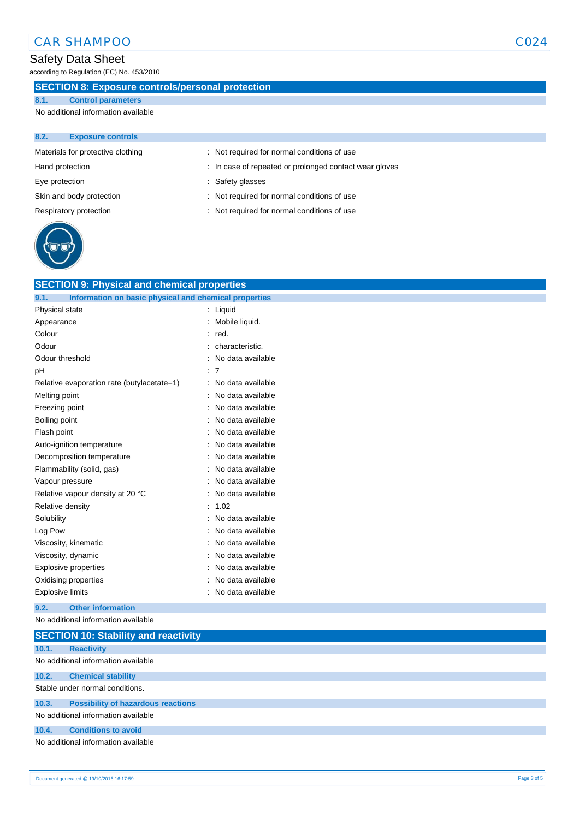## Safety Data Sheet

according to Regulation (EC) No. 453/2010

## **SECTION 8: Exposure controls/personal protection**

**8.1. Control parameters**

No additional information available

| 8.2.            | <b>Exposure controls</b>          |                                                        |
|-----------------|-----------------------------------|--------------------------------------------------------|
|                 | Materials for protective clothing | : Not required for normal conditions of use            |
| Hand protection |                                   | : In case of repeated or prolonged contact wear gloves |
| Eye protection  |                                   | : Safety glasses                                       |
|                 | Skin and body protection          | : Not required for normal conditions of use            |
|                 | Respiratory protection            | : Not required for normal conditions of use            |
|                 |                                   |                                                        |



| <b>SECTION 9: Physical and chemical properties</b>            |                   |
|---------------------------------------------------------------|-------------------|
| Information on basic physical and chemical properties<br>9.1. |                   |
| Physical state                                                | Liquid            |
| Appearance                                                    | Mobile liquid.    |
| Colour                                                        | red.              |
| Odour                                                         | characteristic.   |
| Odour threshold                                               | No data available |
| рH                                                            | 7                 |
| Relative evaporation rate (butylacetate=1)                    | No data available |
| Melting point                                                 | No data available |
| Freezing point                                                | No data available |
| Boiling point                                                 | No data available |
| Flash point                                                   | No data available |
| Auto-ignition temperature                                     | No data available |
| Decomposition temperature                                     | No data available |
| Flammability (solid, gas)                                     | No data available |
| Vapour pressure                                               | No data available |
| Relative vapour density at 20 °C                              | No data available |
| Relative density                                              | 1.02              |
| Solubility                                                    | No data available |
| Log Pow                                                       | No data available |
| Viscosity, kinematic                                          | No data available |
| Viscosity, dynamic                                            | No data available |
| <b>Explosive properties</b>                                   | No data available |
| Oxidising properties                                          | No data available |
| <b>Explosive limits</b>                                       | No data available |
|                                                               |                   |

#### **9.2. Other information**

No additional information available

|                                     | <b>SECTION 10: Stability and reactivity</b> |  |  |
|-------------------------------------|---------------------------------------------|--|--|
| 10.1.                               | <b>Reactivity</b>                           |  |  |
|                                     | No additional information available         |  |  |
| 10.2.                               | <b>Chemical stability</b>                   |  |  |
| Stable under normal conditions.     |                                             |  |  |
| 10.3.                               | <b>Possibility of hazardous reactions</b>   |  |  |
| No additional information available |                                             |  |  |
| 10.4.                               | <b>Conditions to avoid</b>                  |  |  |
|                                     | No additional information available         |  |  |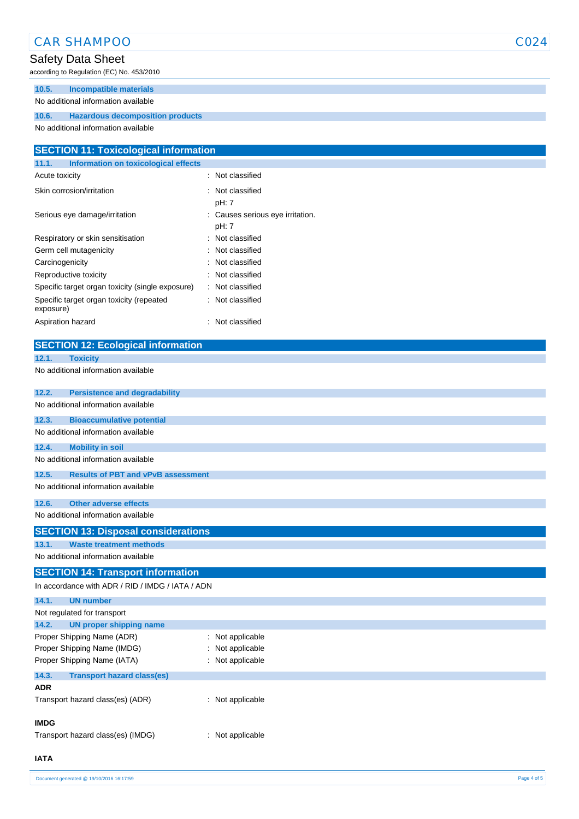#### **10.6. Hazardous decomposition products** No additional information available **SECTION 11: Toxicological information 11.1. Information on toxicological effects** Acute toxicity **in the case of the CALIC CONTEX** and Acute toxicity **of the case of the case of the case of the case of the case of the case of the case of the case of the case of the case of the case of the case of the ca** Skin corrosion/irritation : Not classified pH: 7 Serious eye damage/irritation : Causes serious eye irritation. pH: 7 Respiratory or skin sensitisation : Not classified Germ cell mutagenicity **in the case of the CES** control of the Cermic control of the Cermic control of the Cermic control of the Cermic control of the Cermic control of the Cermic control of the Cermic control of the Cermi Carcinogenicity **Carcinogenicity 1999 Carcinogenicity Carcinogenicity Carcinogenicity** Reproductive toxicity **in the contract of the CRS** in Not classified Specific target organ toxicity (single exposure) : Not classified Specific target organ toxicity (repeated exposure) : Not classified Aspiration hazard : Not classified **SECTION 12: Ecological information 12.1. Toxicity** No additional information available **12.2. Persistence and degradability** No additional information available **12.3. Bioaccumulative potential** No additional information available **12.4. Mobility in soil** No additional information available **12.5. Results of PBT and vPvB assessment** No additional information available **12.6. Other adverse effects** No additional information available **SECTION 13: Disposal considerations 13.1. Waste treatment methods** No additional information available **SECTION 14: Transport information** In accordance with ADR / RID / IMDG / IATA / ADN **14.1. UN number** Not regulated for transport **14.2. UN proper shipping name** Proper Shipping Name (ADR) : Not applicable Proper Shipping Name (IMDG) : Not applicable Proper Shipping Name (IATA) : Not applicable **14.3. Transport hazard class(es) ADR** Transport hazard class(es) (ADR) : Not applicable **IMDG**

CAR SHAMPOO CO24

Transport hazard class(es) (IMDG) : Not applicable

Safety Data Sheet

according to Regulation (EC) No. 453/2010

**10.5. Incompatible materials** No additional information available